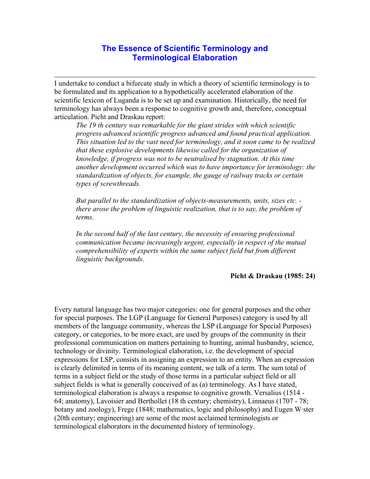## **The Essence of Scientific Terminology and Terminological Elaboration**

I undertake to conduct a bifurcate study in which a theory of scientific terminology is to be formulated and its application to a hypothetically accelerated elaboration of the scientific lexicon of Luganda is to be set up and examination. Historically, the need for terminology has always been a response to cognitive growth and, therefore, conceptual articulation. Picht and Draskau report:

*The 19 th century was remarkable for the giant strides with which scientific progress advanced scientific progress advanced and found practical application. This situation led to the vast need for terminology, and it soon came to be realized that these explosive developments likewise called for the organization of knowledge, if progress was not to be neutralised by stagnation. At this time another development occurred which was to have importance for terminology: the standardization of objects, for example, the gauge of railway tracks or certain types of screwthreads.* 

*But parallel to the standardization of objects-measurements, units, sizes etc. there arose the problem of linguistic realization, that is to say, the problem of terms.* 

*In the second half of the last century, the necessity of ensuring professional communication became increasingly urgent, especially in respect of the mutual comprehensibility of experts within the same subject field but from different linguistic backgrounds.*

## **Picht & Draskau (1985: 24)**

Every natural language has two major categories: one for general purposes and the other for special purposes. The LGP (Language for General Purposes) category is used by all members of the language community, whereas the LSP (Language for Special Purposes) category, or categories, to be more exact, are used by groups of the community in their professional communication on matters pertaining to hunting, animal husbandry, science, technology or divinity. Terminological elaboration, i.e. the development of special expressions for LSP, consists in assigning an expression to an entity. When an expression is clearly delimited in terms of its meaning content, we talk of a term. The sum total of terms in a subject field or the study of those terms in a particular subject field or all subject fields is what is generally conceived of as (a) terminology. As I have stated, terminological elaboration is always a response to cognitive growth. Versalius (1514 - 64; anatomy), Lavoisier and Berthollet (18 th century; chemistry), Linnaeus (1707 - 78; botany and zoology), Frege (1848; mathematics, logic and philosophy) and Eugen W·ster (20th century; engineering) are some of the most acclaimed terminologists or terminological elaborators in the documented history of terminology.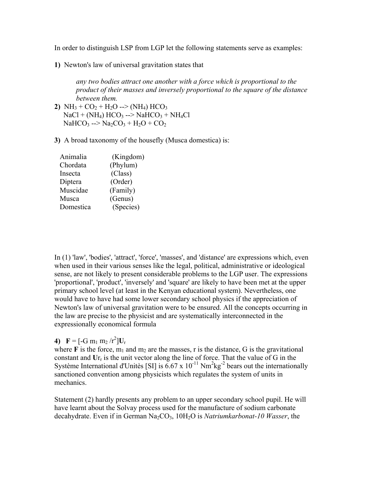In order to distinguish LSP from LGP let the following statements serve as examples:

**1)** Newton's law of universal gravitation states that

*any two bodies attract one another with a force which is proportional to the product of their masses and inversely proportional to the square of the distance between them.*

- **2)** NH<sub>3</sub> + CO<sub>2</sub> + H<sub>2</sub>O --> (NH<sub>4</sub>) HCO<sub>3</sub>  $NaCl + (NH<sub>4</sub>)$  HCO<sub>3</sub> --> NaHCO<sub>3</sub> + NH<sub>4</sub>Cl  $NaHCO<sub>3</sub>$  -->  $Na<sub>2</sub>CO<sub>3</sub> + H<sub>2</sub>O + CO<sub>2</sub>$
- **3)** A broad taxonomy of the housefly (Musca domestica) is:

| Animalia  | (Kingdom) |
|-----------|-----------|
| Chordata  | (Phylum)  |
| Insecta   | (Class)   |
| Diptera   | (Order)   |
| Muscidae  | (Family)  |
| Musca     | (Genus)   |
| Domestica | (Species) |

In (1) 'law', 'bodies', 'attract', 'force', 'masses', and 'distance' are expressions which, even when used in their various senses like the legal, political, administrative or ideological sense, are not likely to present considerable problems to the LGP user. The expressions 'proportional', 'product', 'inversely' and 'square' are likely to have been met at the upper primary school level (at least in the Kenyan educational system). Nevertheless, one would have to have had some lower secondary school physics if the appreciation of Newton's law of universal gravitation were to be ensured. All the concepts occurring in the law are precise to the physicist and are systematically interconnected in the expressionally economical formula

## **4)**  $\mathbf{F} = [-\mathrm{G} \, \mathrm{m}_1 \, \mathrm{m}_2 / \mathrm{r}^2] \mathbf{U}_r$

where  $\bf{F}$  is the force,  $m_1$  and  $m_2$  are the masses, r is the distance, G is the gravitational constant and  $Ur_r$  is the unit vector along the line of force. That the value of G in the Système International d'Unitès [SI] is  $6.67 \times 10^{-11}$  Nm<sup>2</sup>kg<sup>-2</sup> bears out the internationally sanctioned convention among physicists which regulates the system of units in mechanics.

Statement (2) hardly presents any problem to an upper secondary school pupil. He will have learnt about the Solvay process used for the manufacture of sodium carbonate decahydrate. Even if in German Na<sub>2</sub>CO<sub>3</sub>, 10H<sub>2</sub>O is *Natriumkarbonat-10 Wasser*, the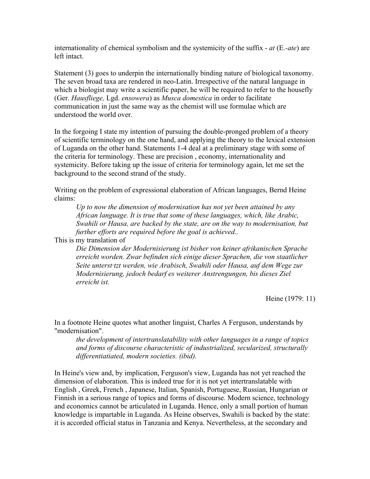internationality of chemical symbolism and the systemicity of the suffix - *at* (E.*-ate*) are left intact.

Statement (3) goes to underpin the internationally binding nature of biological taxonomy. The seven broad taxa are rendered in neo-Latin. Irrespective of the natural language in which a biologist may write a scientific paper, he will be required to refer to the housefly (Ger. *Hausfliege,* Lgd. *ensowera*) as *Musca domestica* in order to facilitate communication in just the same way as the chemist will use formulae which are understood the world over.

In the forgoing I state my intention of pursuing the double-pronged problem of a theory of scientific terminology on the one hand, and applying the theory to the lexical extension of Luganda on the other hand. Statements 1-4 deal at a preliminary stage with some of the criteria for terminology. These are precision , economy, internationality and systemicity. Before taking up the issue of criteria for terminology again, let me set the background to the second strand of the study.

Writing on the problem of expressional elaboration of African languages, Bernd Heine claims:

*Up to now the dimension of modernisation has not yet been attained by any African language. It is true that some of these languages, which, like Arabic, Swahili or Hausa, are backed by the state, are on the way to modernisation, but further efforts are required before the goal is achieved..*

This is my translation of

*Die Dimension der Modernisierung ist bisher von keiner afrikanischen Sprache erreicht worden. Zwar befinden sich einige dieser Sprachen, die von staatlicher Seite unterst·tzt werden, wie Arabisch, Swahili oder Hausa, auf dem Wege zur Modernisierung, jedoch bedarf es weiterer Anstrengungen, bis dieses Ziel erreicht ist.*

Heine (1979: 11)

In a footnote Heine quotes what another linguist, Charles A Ferguson, understands by "modernisation".

*the development of intertranslatability with other languages in a range of topics and forms of discourse characteristic of industrialized, secularized, structurally differentiatiated, modern societies. (ibid).*

In Heine's view and, by implication, Ferguson's view, Luganda has not yet reached the dimension of elaboration. This is indeed true for it is not yet intertranslatable with English , Greek, French , Japanese, Italian, Spanish, Portuguese, Russian, Hungarian or Finnish in a serious range of topics and forms of discourse. Modern science, technology and economics cannot be articulated in Luganda. Hence, only a small portion of human knowledge is impartable in Luganda. As Heine observes, Swahili is backed by the state: it is accorded official status in Tanzania and Kenya. Nevertheless, at the secondary and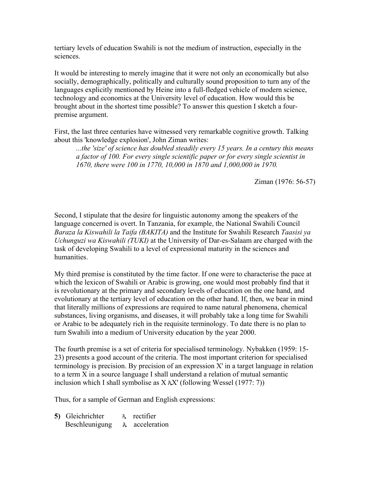tertiary levels of education Swahili is not the medium of instruction, especially in the sciences.

It would be interesting to merely imagine that it were not only an economically but also socially, demographically, politically and culturally sound proposition to turn any of the languages explicitly mentioned by Heine into a full-fledged vehicle of modern science, technology and economics at the University level of education. How would this be brought about in the shortest time possible? To answer this question I sketch a fourpremise argument.

First, the last three centuries have witnessed very remarkable cognitive growth. Talking about this 'knowledge explosion', John Ziman writes:

*...the 'size' of science has doubled steadily every 15 years. In a century this means a factor of 100. For every single scientific paper or for every single scientist in 1670, there were 100 in 1770, 10,000 in 1870 and 1,000,000 in 1970.*

Ziman (1976: 56-57)

Second, I stipulate that the desire for linguistic autonomy among the speakers of the language concerned is overt. In Tanzania, for example, the National Swahili Council *Baraza la Kiswahili la Taifa (BAKITA)* and the Institute for Swahili Research *Taasisi ya Uchunguzi wa Kiswahili (TUKI)* at the University of Dar-es-Salaam are charged with the task of developing Swahili to a level of expressional maturity in the sciences and humanities.

My third premise is constituted by the time factor. If one were to characterise the pace at which the lexicon of Swahili or Arabic is growing, one would most probably find that it is revolutionary at the primary and secondary levels of education on the one hand, and evolutionary at the tertiary level of education on the other hand. If, then, we bear in mind that literally millions of expressions are required to name natural phenomena, chemical substances, living organisms, and diseases, it will probably take a long time for Swahili or Arabic to be adequately rich in the requisite terminology. To date there is no plan to turn Swahili into a medium of University education by the year 2000.

The fourth premise is a set of criteria for specialised terminology. Nybakken (1959: 15- 23) presents a good account of the criteria. The most important criterion for specialised terminology is precision. By precision of an expression  $X'$  in a target language in relation to a term X in a source language I shall understand a relation of mutual semantic inclusion which I shall symbolise as  $X \Lambda X'$  (following Wessel (1977: 7))

Thus, for a sample of German and English expressions:

**5)** Gleichrichter **A** rectifier Beschleunigung **A** acceleration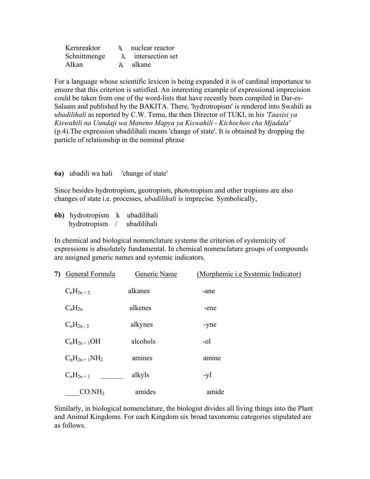| Kernreaktor  | nuclear reactor           |
|--------------|---------------------------|
| Schnittmenge | <b>A</b> intersection set |
| Alkan        | A alkane                  |

For a language whose scientific lexicon is being expanded it is of cardinal importance to ensure that this criterion is satisfied. An interesting example of expressional imprecision could be taken from one of the word-lists that have recently been compiled in Dar-es-Salaam and published by the BAKITA. There, 'hydrotropism' is rendered into Swahili as *ubadilihali* as reported by C.W. Temu, the then Director of TUKI, in his *'Taasisi ya Kiswahili na Uundaji wa Maneno Mapya ya Kiswahili - Kichocheo cha Mjadala'* (p.4).The expression ubadilihali means 'change of state'. It is obtained by dropping the particle of relationship in the nominal phrase

## **6a)** ubadili wa hali 'change of state'

Since besides hydrotropism, geotropism, phototropism and other tropisms are also changes of state i.e. processes, *ubadilihali* is imprecise. Symbolically,

**6b)** hydrotropism k ubadilihali hydrotropism / ubadilihali

In chemical and biological nomenclature systems the criterion of systemicity of expressions is absolutely fundamental. In chemical nomenclature groups of compounds are assigned generic names and systemic indicators.

| 7) | General Formula    | Generic Name | (Morphemic i.e Systemic Indicator) |
|----|--------------------|--------------|------------------------------------|
|    | $C_nH_{2n+2}$      | alkanes      | -ane                               |
|    | $C_nH_{2n}$        | alkenes      | -ene                               |
|    | $C_nH_{2n-2}$      | alkynes      | -yne                               |
|    | $C_nH_{2n+1}OH$    | alcohols     | -ol                                |
|    | $C_nH_{2n+1}NH_2$  | amines       | amine                              |
|    | $C_nH_{2n+1}$      | alkyls       | -yl                                |
|    | CO.NH <sub>2</sub> | amides       | amide                              |

Similarly, in biological nomenclature, the biologist divides all living things into the Plant and Animal Kingdoms. For each Kingdom six broad taxonomic categories stipulated are as follows.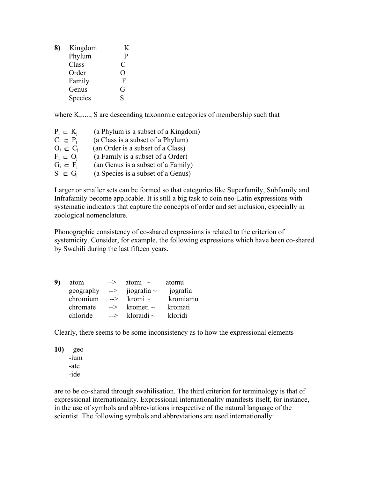| 8) | Kingdom | K           |
|----|---------|-------------|
|    | Phylum  | P           |
|    | Class   | C           |
|    | Order   | 0           |
|    | Family  | $\mathbf F$ |
|    | Genus   | G           |
|    | Species | S           |

where K,....., S are descending taxonomic categories of membership such that

| $P_i = K_i$               | (a Phylum is a subset of a Kingdom) |
|---------------------------|-------------------------------------|
| $C_i \nightharpoonup P_i$ | (a Class is a subset of a Phylum)   |
| $O_i \subset C_i$         | (an Order is a subset of a Class)   |
| $F_i \n\subset O_i$       | (a Family is a subset of a Order)   |
| $G_i \subset F_i$         | (an Genus is a subset of a Family)  |
| $S_i \subseteq G_i$       | (a Species is a subset of a Genus)  |

Larger or smaller sets can be formed so that categories like Superfamily, Subfamily and Infrafamily become applicable. It is still a big task to coin neo-Latin expressions with systematic indicators that capture the concepts of order and set inclusion, especially in zoological nomenclature.

Phonographic consistency of co-shared expressions is related to the criterion of systemicity. Consider, for example, the following expressions which have been co-shared by Swahili during the last fifteen years.

| atom      | $\rightarrow$ | atomi $\sim$     | atomu    |
|-----------|---------------|------------------|----------|
| geography | -->           | jiografia $\sim$ | jografia |
| chromium  | $\rightarrow$ | kromi $\sim$     | kromiamu |
| chromate  | $\rightarrow$ | krometi $\sim$   | kromati  |
| chloride  | $\rightarrow$ | kloraidi $\sim$  | kloridi  |

Clearly, there seems to be some inconsistency as to how the expressional elements

**10)** geo- -ium -ate -ide

are to be co-shared through swahilisation. The third criterion for terminology is that of expressional internationality. Expressional internationality manifests itself, for instance, in the use of symbols and abbreviations irrespective of the natural language of the scientist. The following symbols and abbreviations are used internationally: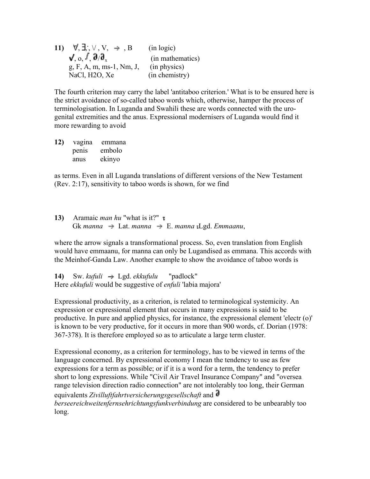**11)**  $\forall$ ,  $\exists$ ,  $\forall$ ,  $\forall$ ,  $\forall$ ,  $\Rightarrow$ ,  $\exists$  (in logic)  $\sqrt{2}$ ,  $\frac{\partial}{\partial x}$  (in mathematics) g, F, A, m, ms-1, Nm, J, (in physics) NaCl, H2O, Xe (in chemistry)

The fourth criterion may carry the label 'antitaboo criterion.' What is to be ensured here is the strict avoidance of so-called taboo words which, otherwise, hamper the process of terminologisation. In Luganda and Swahili these are words connected with the urogenital extremities and the anus. Expressional modernisers of Luganda would find it more rewarding to avoid

**12)** vagina emmana penis embolo anus ekinyo

as terms. Even in all Luganda translations of different versions of the New Testament (Rev. 2:17), sensitivity to taboo words is shown, for we find

13) Aramaic *man hu* "what is it?" **1** Gk *manna*  $\Rightarrow$  Lat. *manna*  $\Rightarrow$  E. *manna Lgd. Emmaanu*,

where the arrow signals a transformational process. So, even translation from English would have emmaanu, for manna can only be Lugandised as emmana. This accords with the Meinhof-Ganda Law. Another example to show the avoidance of taboo words is

**14)** Sw. *kufuli* Lgd. *ekkufulu* "padlock" Here *ekkufuli* would be suggestive of *enfuli* 'labia majora'

Expressional productivity, as a criterion, is related to terminological systemicity. An expression or expressional element that occurs in many expressions is said to be productive. In pure and applied physics, for instance, the expressional element 'electr (o)' is known to be very productive, for it occurs in more than 900 words, cf. Dorian (1978: 367-378). It is therefore employed so as to articulate a large term cluster.

Expressional economy, as a criterion for terminology, has to be viewed in terms of the language concerned. By expressional economy I mean the tendency to use as few expressions for a term as possible; or if it is a word for a term, the tendency to prefer short to long expressions. While "Civil Air Travel Insurance Company" and "oversea range television direction radio connection" are not intolerably too long, their German equivalents *Zivilluftfahrtversicherungsgesellschaft* and *berseereichweitenfernsehrichtungsfunkverbindung* are considered to be unbearably too long.